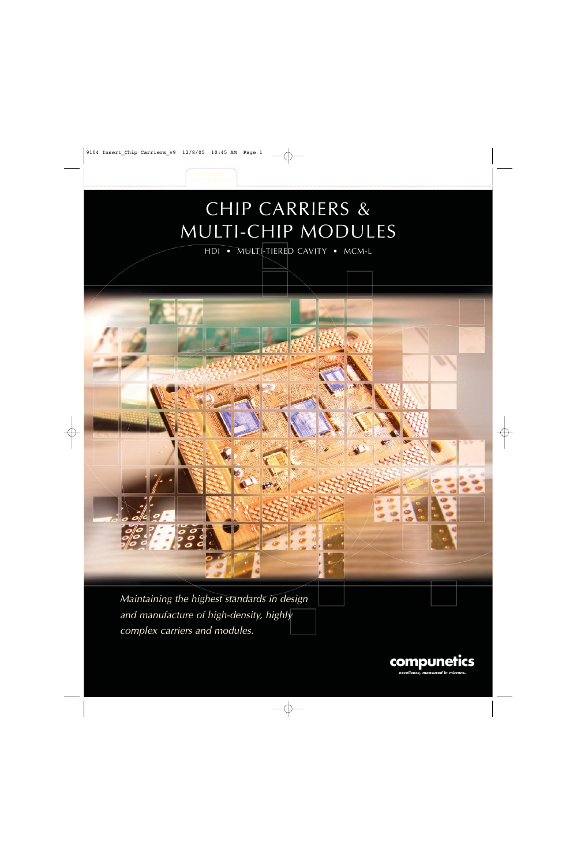# CHIP CARRIERS & MULTI-CHIP MODULES

HDI • MULTI-TIERED CAVITY • MCM-L

Maintaining the highest standards in design and manufacture of high-density, highly complex carriers and modules.